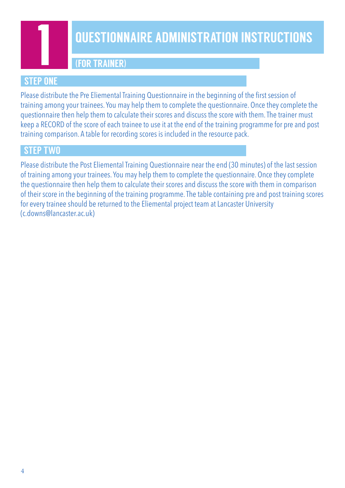

### **QUESTIONNAIRE ADMINISTRATION INSTRUCTIONS**

(FOR TRAINER)

### **STEP ONE**

Please distribute the Pre Eliemental Training Questionnaire in the beginning of the first session of training among your trainees. You may help them to complete the questionnaire. Once they complete the questionnaire then help them to calculate their scores and discuss the score with them. The trainer must keep a RECORD of the score of each trainee to use it at the end of the training programme for pre and post training comparison. A table for recording scores is included in the resource pack.

### **STEP TWO**

Please distribute the Post Eliemental Training Questionnaire near the end (30 minutes) of the last session of training among your trainees. You may help them to complete the questionnaire. Once they complete the questionnaire then help them to calculate their scores and discuss the score with them in comparison of their score in the beginning of the training programme. The table containing pre and post training scores for every trainee should be returned to the Eliemental project team at Lancaster University (c.downs@lancaster.ac.uk)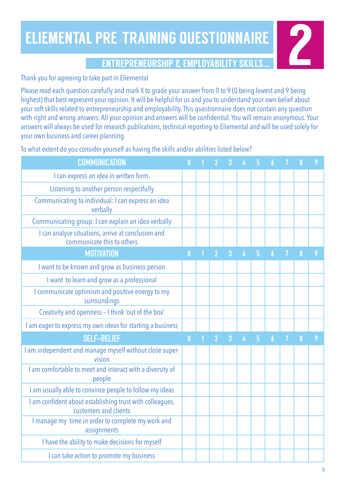## ELIEMENTAL PRE-TRAINING QUESTIONNAIRE RE-TRAINING QUESTIONNAIRE<br>ENTREPRENEURSHIP & EMPLOYABILITY SKILLS...

### Thank you for agreeing to take part in Eliemental

Please read each question carefully and mark X to grade your answer from 0 to 9 (0 being lowest and 9 being highest) that best represent your opinion. It will be helpful for us and you to understand your own belief about your soft skills related to entrepreneurship and employability. This questionnaire does not contain any question with right and wrong answers. All your opinion and answers will be confidential. You will remain anonymous. Your answers will always be used for research publications, technical reporting to Eliemental and will be used solely for your own business and career planning.

To what extent do you consider yourself as having the skills and/or abilities listed below?

| <b>COMMUNICATION</b>                                                              |              |                |                |   |                |   |   |  |
|-----------------------------------------------------------------------------------|--------------|----------------|----------------|---|----------------|---|---|--|
| I can express an idea in written form.                                            |              |                |                |   |                |   |   |  |
| Listening to another person respectfully                                          |              |                |                |   |                |   |   |  |
| Communicating to individual: I can express an idea<br>verbally                    |              |                |                |   |                |   |   |  |
| Communicating group: I can explain an idea verbally                               |              |                |                |   |                |   |   |  |
| I can analyse situations, arrive at conclusion and<br>communicate this to others  |              |                |                |   |                |   |   |  |
| <b>MOTIVATION</b>                                                                 | 0            | $\overline{2}$ | $\overline{3}$ | 4 | $\overline{5}$ | 6 | 8 |  |
| I want to be known and grow as business person                                    |              |                |                |   |                |   |   |  |
| I want to learn and grow as a professional                                        |              |                |                |   |                |   |   |  |
| I communicate optimism and positive energy to my<br>surroundings                  |              |                |                |   |                |   |   |  |
| Creativity and openness - I think 'out of the box'                                |              |                |                |   |                |   |   |  |
| I am eager to express my own ideas for starting a business                        |              |                |                |   |                |   |   |  |
| <b>SELF-BELIEF</b>                                                                | $\mathbf{0}$ | $\overline{2}$ | 3              |   | 5              |   | 8 |  |
| I am independent and manage myself without close super-<br>vision                 |              |                |                |   |                |   |   |  |
| I am comfortable to meet and interact with a diversity of<br>people               |              |                |                |   |                |   |   |  |
| I am usually able to convince people to follow my ideas                           |              |                |                |   |                |   |   |  |
| I am confident about establishing trust with colleagues,<br>customers and clients |              |                |                |   |                |   |   |  |
| I manage my time in order to complete my work and<br>assignments                  |              |                |                |   |                |   |   |  |
| I have the ability to make decisions for myself                                   |              |                |                |   |                |   |   |  |
| I can take action to promote my business                                          |              |                |                |   |                |   |   |  |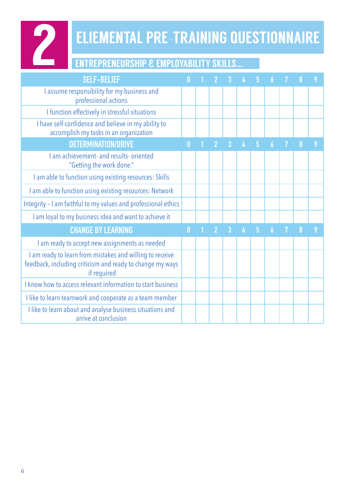

# **2 ELIEMENTAL PRE-TRAINING QUESTIONNAIRE**

### ENTREPRENEURSHIP & EMPLOYABILITY SKILLS...

| <b>SELF-BELIEF</b>                                                                                                                   | 0            |                | 3              |   | 5 |                |   |  |
|--------------------------------------------------------------------------------------------------------------------------------------|--------------|----------------|----------------|---|---|----------------|---|--|
| I assume responsibility for my business and<br>professional actions                                                                  |              |                |                |   |   |                |   |  |
| I function effectively in stressful situations                                                                                       |              |                |                |   |   |                |   |  |
| I have self-confidence and believe in my ability to<br>accomplish my tasks in an organization                                        |              |                |                |   |   |                |   |  |
| <b>DETERMINATION/DRIVE</b>                                                                                                           | 0            | $\overline{2}$ | 3              | 4 | 5 | 6              | 8 |  |
| I am achievement- and results- oriented<br>"Getting the work done."                                                                  |              |                |                |   |   |                |   |  |
| I am able to function using existing resources: Skills                                                                               |              |                |                |   |   |                |   |  |
| I am able to function using existing resources: Network                                                                              |              |                |                |   |   |                |   |  |
| Integrity - I am faithful to my values and professional ethics                                                                       |              |                |                |   |   |                |   |  |
| I am loyal to my business idea and want to achieve it                                                                                |              |                |                |   |   |                |   |  |
| <b>CHANGE BY LEARNING</b>                                                                                                            | $\mathbf{0}$ | $\overline{2}$ | $\overline{3}$ |   | 5 | $\overline{b}$ |   |  |
| I am ready to accept new assignments as needed                                                                                       |              |                |                |   |   |                |   |  |
| I am ready to learn from mistakes and willing to receive<br>feedback, including criticism and ready to change my ways<br>if required |              |                |                |   |   |                |   |  |
| I know how to access relevant information to start business                                                                          |              |                |                |   |   |                |   |  |
| I like to learn teamwork and cooperate as a team member                                                                              |              |                |                |   |   |                |   |  |
| I like to learn about and analyse business situations and<br>arrive at conclusion                                                    |              |                |                |   |   |                |   |  |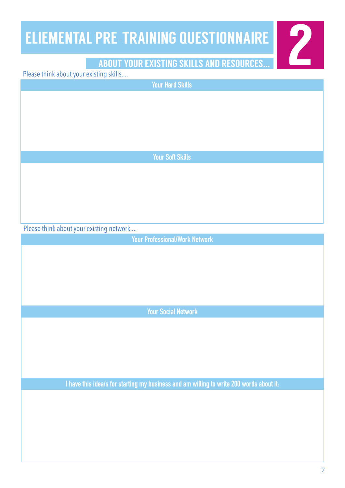## ELIEMENTAL PRE-TRAINING QUESTIONNAIRE **PRE-TRAINING QUESTIONNAIRE<br>ABOUT YOUR EXISTING SKILLS AND RESOURCES...**

### Please think about your existing skills....

Please think about your existing network.... **Your Professional/Work Network Your Social Network I have this idea/s for starting my business and am willing to write 200 words about it: Your Hard Skills Your Soft Skills**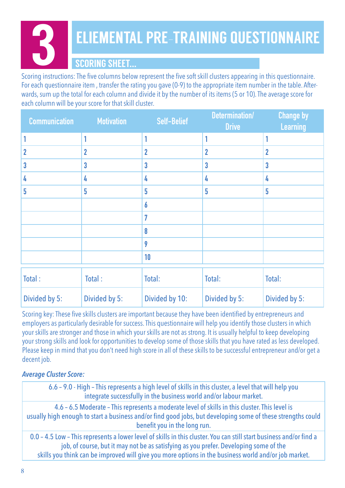# 3 ELIEMENTAL PRE-TRAINING QUESTIONNAIRE

### SCORING SHEET...

Scoring instructions: The five columns below represent the five soft skill clusters appearing in this questionnaire. For each questionnaire item , transfer the rating you gave (0-9) to the appropriate item number in the table. Afterwards, sum up the total for each column and divide it by the number of its items (5 or 10). The average score for each column will be your score for that skill cluster.

| <b>Communication</b> | <b>Motivation</b> | <b>Self-Belief</b> | Determination/<br><b>Drive</b> | <b>Change by</b><br><b>Learning</b> |
|----------------------|-------------------|--------------------|--------------------------------|-------------------------------------|
|                      |                   |                    |                                |                                     |
|                      | 2                 | $\mathbf{2}$       | $\overline{2}$                 | 2                                   |
|                      | 3                 | $\mathbf 3$        | 3                              | 3                                   |
|                      | 4                 | 4                  | 4                              | 4                                   |
| 5                    | 5                 | 5                  | 5                              | 5                                   |
|                      |                   | 6                  |                                |                                     |
|                      |                   | 7                  |                                |                                     |
|                      |                   | 8                  |                                |                                     |
|                      |                   | 9                  |                                |                                     |
|                      |                   | 10                 |                                |                                     |
|                      |                   |                    |                                |                                     |

| Total:        | Total:        | Total:         | Total:        | Total:        |
|---------------|---------------|----------------|---------------|---------------|
| Divided by 5: | Divided by 5: | Divided by 10: | Divided by 5: | Divided by 5: |

Scoring key: These five skills clusters are important because they have been identified by entrepreneurs and employers as particularly desirable for success. This questionnaire will help you identify those clusters in which your skills are stronger and those in which your skills are not as strong. It is usually helpful to keep developing your strong skills and look for opportunities to develop some of those skills that you have rated as less developed. Please keep in mind that you don't need high score in all of these skills to be successful entrepreneur and/or get a decent job.

### *Average Cluster Score:*

6.6 – 9.0 - High – This represents a high level of skills in this cluster, a level that will help you integrate successfully in the business world and/or labour market.

4.6 – 6.5 Moderate – This represents a moderate level of skills in this cluster. This level is usually high enough to start a business and/or find good jobs, but developing some of these strengths could benefit you in the long run.

0.0 – 4.5 Low – This represents a lower level of skills in this cluster. You can still start business and/or find a job, of course, but it may not be as satisfying as you prefer. Developing some of the skills you think can be improved will give you more options in the business world and/or job market.